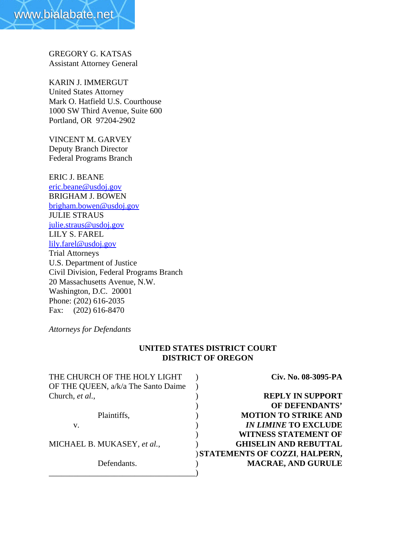GREGORY G. KATSAS Assistant Attorney General

KARIN J. IMMERGUT United States Attorney Mark O. Hatfield U.S. Courthouse 1000 SW Third Avenue, Suite 600 Portland, OR 97204-2902

VINCENT M. GARVEY Deputy Branch Director Federal Programs Branch

ERIC J. BEANE eric.beane@usdoj.gov BRIGHAM J. BOWEN brigham.bowen@usdoj.gov JULIE STRAUS julie.straus@usdoj.gov LILY S. FAREL lily.farel@usdoj.gov Trial Attorneys U.S. Department of Justice Civil Division, Federal Programs Branch 20 Massachusetts Avenue, N.W. Washington, D.C. 20001 Phone: (202) 616-2035 Fax: (202) 616-8470

*Attorneys for Defendants*

## **UNITED STATES DISTRICT COURT DISTRICT OF OREGON**

| THE CHURCH OF THE HOLY LIGHT        | Civ. No. 08-3095-PA                  |
|-------------------------------------|--------------------------------------|
| OF THE QUEEN, a/k/a The Santo Daime |                                      |
| Church, et al.,                     | <b>REPLY IN SUPPORT</b>              |
|                                     | OF DEFENDANTS'                       |
| Plaintiffs,                         | <b>MOTION TO STRIKE AND</b>          |
| V.                                  | <b>IN LIMINE TO EXCLUDE</b>          |
|                                     | <b>WITNESS STATEMENT OF</b>          |
| MICHAEL B. MUKASEY, et al.,         | <b>GHISELIN AND REBUTTAL</b>         |
|                                     | <b>STATEMENTS OF COZZI, HALPERN,</b> |
| Defendants.                         | <b>MACRAE, AND GURULE</b>            |
|                                     |                                      |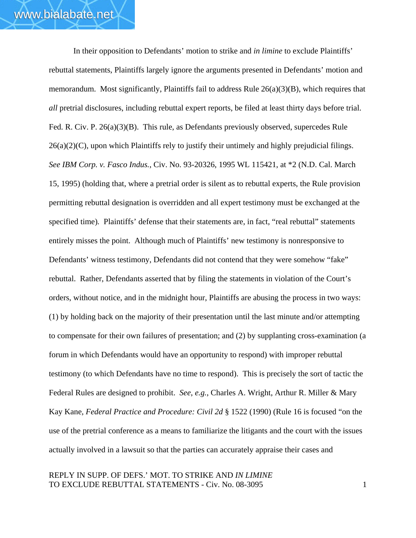In their opposition to Defendants' motion to strike and *in limine* to exclude Plaintiffs' rebuttal statements, Plaintiffs largely ignore the arguments presented in Defendants' motion and memorandum. Most significantly, Plaintiffs fail to address Rule 26(a)(3)(B), which requires that *all* pretrial disclosures, including rebuttal expert reports, be filed at least thirty days before trial. Fed. R. Civ. P. 26(a)(3)(B). This rule, as Defendants previously observed, supercedes Rule  $26(a)(2)(C)$ , upon which Plaintiffs rely to justify their untimely and highly prejudicial filings. *See IBM Corp. v. Fasco Indus.*, Civ. No. 93-20326, 1995 WL 115421, at \*2 (N.D. Cal. March 15, 1995) (holding that, where a pretrial order is silent as to rebuttal experts, the Rule provision permitting rebuttal designation is overridden and all expert testimony must be exchanged at the specified time)*.* Plaintiffs' defense that their statements are, in fact, "real rebuttal" statements entirely misses the point. Although much of Plaintiffs' new testimony is nonresponsive to Defendants' witness testimony, Defendants did not contend that they were somehow "fake" rebuttal. Rather, Defendants asserted that by filing the statements in violation of the Court's orders, without notice, and in the midnight hour, Plaintiffs are abusing the process in two ways: (1) by holding back on the majority of their presentation until the last minute and/or attempting to compensate for their own failures of presentation; and (2) by supplanting cross-examination (a forum in which Defendants would have an opportunity to respond) with improper rebuttal testimony (to which Defendants have no time to respond). This is precisely the sort of tactic the Federal Rules are designed to prohibit. *See*, *e.g.*, Charles A. Wright, Arthur R. Miller & Mary Kay Kane, *Federal Practice and Procedure: Civil 2d* § 1522 (1990) (Rule 16 is focused "on the use of the pretrial conference as a means to familiarize the litigants and the court with the issues actually involved in a lawsuit so that the parties can accurately appraise their cases and

REPLY IN SUPP. OF DEFS.' MOT. TO STRIKE AND *IN LIMINE* TO EXCLUDE REBUTTAL STATEMENTS - Civ. No. 08-3095 1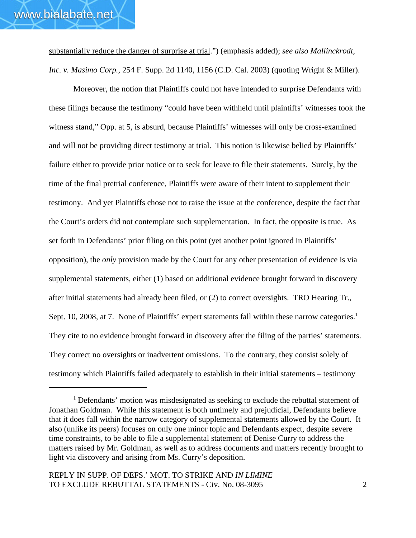substantially reduce the danger of surprise at trial.") (emphasis added); *see also Mallinckrodt, Inc. v. Masimo Corp.*, 254 F. Supp. 2d 1140, 1156 (C.D. Cal. 2003) (quoting Wright & Miller).

Moreover, the notion that Plaintiffs could not have intended to surprise Defendants with these filings because the testimony "could have been withheld until plaintiffs' witnesses took the witness stand," Opp. at 5, is absurd, because Plaintiffs' witnesses will only be cross-examined and will not be providing direct testimony at trial. This notion is likewise belied by Plaintiffs' failure either to provide prior notice or to seek for leave to file their statements. Surely, by the time of the final pretrial conference, Plaintiffs were aware of their intent to supplement their testimony. And yet Plaintiffs chose not to raise the issue at the conference, despite the fact that the Court's orders did not contemplate such supplementation. In fact, the opposite is true. As set forth in Defendants' prior filing on this point (yet another point ignored in Plaintiffs' opposition), the *only* provision made by the Court for any other presentation of evidence is via supplemental statements, either (1) based on additional evidence brought forward in discovery after initial statements had already been filed, or (2) to correct oversights. TRO Hearing Tr., Sept. 10, 2008, at 7. None of Plaintiffs' expert statements fall within these narrow categories.<sup>1</sup> They cite to no evidence brought forward in discovery after the filing of the parties' statements. They correct no oversights or inadvertent omissions. To the contrary, they consist solely of testimony which Plaintiffs failed adequately to establish in their initial statements – testimony

<sup>&</sup>lt;sup>1</sup> Defendants' motion was misdesignated as seeking to exclude the rebuttal statement of Jonathan Goldman. While this statement is both untimely and prejudicial, Defendants believe that it does fall within the narrow category of supplemental statements allowed by the Court. It also (unlike its peers) focuses on only one minor topic and Defendants expect, despite severe time constraints, to be able to file a supplemental statement of Denise Curry to address the matters raised by Mr. Goldman, as well as to address documents and matters recently brought to light via discovery and arising from Ms. Curry's deposition.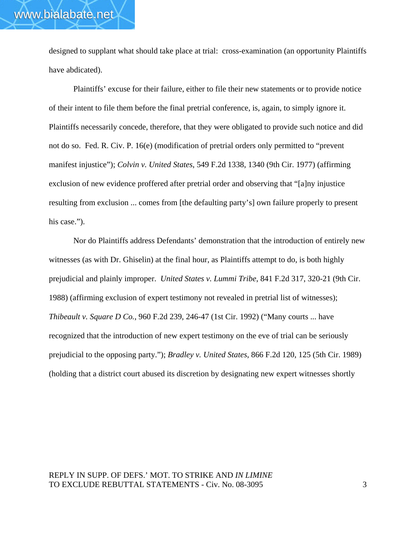designed to supplant what should take place at trial: cross-examination (an opportunity Plaintiffs have abdicated).

Plaintiffs' excuse for their failure, either to file their new statements or to provide notice of their intent to file them before the final pretrial conference, is, again, to simply ignore it. Plaintiffs necessarily concede, therefore, that they were obligated to provide such notice and did not do so. Fed. R. Civ. P. 16(e) (modification of pretrial orders only permitted to "prevent manifest injustice"); *Colvin v. United States*, 549 F.2d 1338, 1340 (9th Cir. 1977) (affirming exclusion of new evidence proffered after pretrial order and observing that "[a]ny injustice resulting from exclusion ... comes from [the defaulting party's] own failure properly to present his case.").

Nor do Plaintiffs address Defendants' demonstration that the introduction of entirely new witnesses (as with Dr. Ghiselin) at the final hour, as Plaintiffs attempt to do, is both highly prejudicial and plainly improper. *United States v. Lummi Tribe*, 841 F.2d 317, 320-21 (9th Cir. 1988) (affirming exclusion of expert testimony not revealed in pretrial list of witnesses); *Thibeault v. Square D Co.*, 960 F.2d 239, 246-47 (1st Cir. 1992) ("Many courts ... have recognized that the introduction of new expert testimony on the eve of trial can be seriously prejudicial to the opposing party."); *Bradley v. United States*, 866 F.2d 120, 125 (5th Cir. 1989) (holding that a district court abused its discretion by designating new expert witnesses shortly

## REPLY IN SUPP. OF DEFS.' MOT. TO STRIKE AND *IN LIMINE* TO EXCLUDE REBUTTAL STATEMENTS - Civ. No. 08-3095 3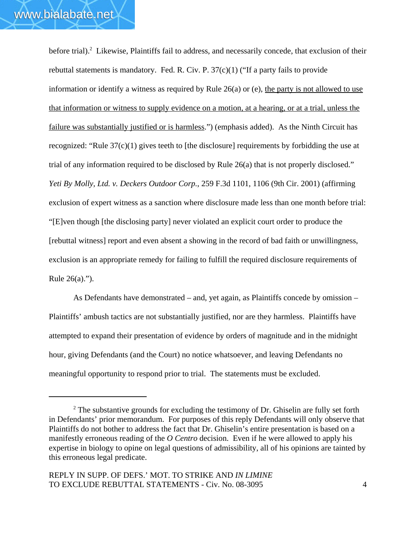before trial).<sup>2</sup> Likewise, Plaintiffs fail to address, and necessarily concede, that exclusion of their rebuttal statements is mandatory. Fed. R. Civ. P.  $37(c)(1)$  ("If a party fails to provide information or identify a witness as required by Rule  $26(a)$  or (e), the party is not allowed to use that information or witness to supply evidence on a motion, at a hearing, or at a trial, unless the failure was substantially justified or is harmless.") (emphasis added). As the Ninth Circuit has recognized: "Rule 37(c)(1) gives teeth to [the disclosure] requirements by forbidding the use at trial of any information required to be disclosed by Rule 26(a) that is not properly disclosed." *Yeti By Molly, Ltd. v. Deckers Outdoor Corp.*, 259 F.3d 1101, 1106 (9th Cir. 2001) (affirming exclusion of expert witness as a sanction where disclosure made less than one month before trial: "[E]ven though [the disclosing party] never violated an explicit court order to produce the [rebuttal witness] report and even absent a showing in the record of bad faith or unwillingness, exclusion is an appropriate remedy for failing to fulfill the required disclosure requirements of Rule 26(a).").

As Defendants have demonstrated – and, yet again, as Plaintiffs concede by omission – Plaintiffs' ambush tactics are not substantially justified, nor are they harmless. Plaintiffs have attempted to expand their presentation of evidence by orders of magnitude and in the midnight hour, giving Defendants (and the Court) no notice whatsoever, and leaving Defendants no meaningful opportunity to respond prior to trial. The statements must be excluded.

 $2^2$  The substantive grounds for excluding the testimony of Dr. Ghiselin are fully set forth in Defendants' prior memorandum. For purposes of this reply Defendants will only observe that Plaintiffs do not bother to address the fact that Dr. Ghiselin's entire presentation is based on a manifestly erroneous reading of the *O Centro* decision. Even if he were allowed to apply his expertise in biology to opine on legal questions of admissibility, all of his opinions are tainted by this erroneous legal predicate.